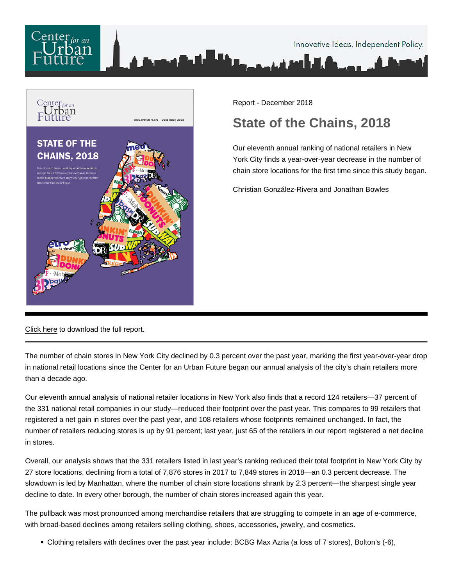

Report - December 2018

# State of the Chains, 2018

Our eleventh annual ranking of national retailers in New York City finds a year-over-year decrease in the number of chain store locations for the first time since this study began.

Christian González-Rivera and Jonathan Bowles

[Click here](/pdf/StateOfChains2018.pdf) to download the full report.

The number of chain stores in New York City declined by 0.3 percent over the past year, marking the first year-over-year drop in national retail locations since the Center for an Urban Future began our annual analysis of the city's chain retailers more than a decade ago.

Our eleventh annual analysis of national retailer locations in New York also finds that a record 124 retailers—37 percent of the 331 national retail companies in our study—reduced their footprint over the past year. This compares to 99 retailers that registered a net gain in stores over the past year, and 108 retailers whose footprints remained unchanged. In fact, the number of retailers reducing stores is up by 91 percent; last year, just 65 of the retailers in our report registered a net decline in stores.

Overall, our analysis shows that the 331 retailers listed in last year's ranking reduced their total footprint in New York City by 27 store locations, declining from a total of 7,876 stores in 2017 to 7,849 stores in 2018—an 0.3 percent decrease. The slowdown is led by Manhattan, where the number of chain store locations shrank by 2.3 percent—the sharpest single year decline to date. In every other borough, the number of chain stores increased again this year.

The pullback was most pronounced among merchandise retailers that are struggling to compete in an age of e-commerce, with broad-based declines among retailers selling clothing, shoes, accessories, jewelry, and cosmetics.

Clothing retailers with declines over the past year include: BCBG Max Azria (a loss of 7 stores), Bolton's (-6),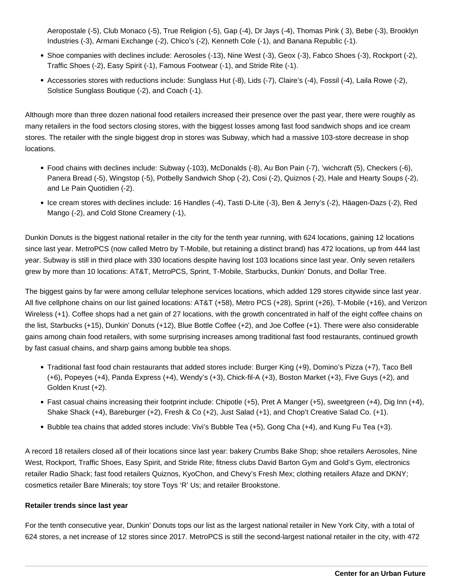Aeropostale (-5), Club Monaco (-5), True Religion (-5), Gap (-4), Dr Jays (-4), Thomas Pink ( 3), Bebe (-3), Brooklyn Industries (-3), Armani Exchange (-2), Chico's (-2), Kenneth Cole (-1), and Banana Republic (-1).

- Shoe companies with declines include: Aerosoles (-13), Nine West (-3), Geox (-3), Fabco Shoes (-3), Rockport (-2), Traffic Shoes (-2), Easy Spirit (-1), Famous Footwear (-1), and Stride Rite (-1).
- Accessories stores with reductions include: Sunglass Hut (-8), Lids (-7), Claire's (-4), Fossil (-4), Laila Rowe (-2), Solstice Sunglass Boutique (-2), and Coach (-1).

Although more than three dozen national food retailers increased their presence over the past year, there were roughly as many retailers in the food sectors closing stores, with the biggest losses among fast food sandwich shops and ice cream stores. The retailer with the single biggest drop in stores was Subway, which had a massive 103-store decrease in shop locations.

- Food chains with declines include: Subway (-103), McDonalds (-8), Au Bon Pain (-7), 'wichcraft (5), Checkers (-6), Panera Bread (-5), Wingstop (-5), Potbelly Sandwich Shop (-2), Cosi (-2), Quiznos (-2), Hale and Hearty Soups (-2), and Le Pain Quotidien (-2).
- Ice cream stores with declines include: 16 Handles (-4), Tasti D-Lite (-3), Ben & Jerry's (-2), Häagen-Dazs (-2), Red Mango (-2), and Cold Stone Creamery (-1),

Dunkin Donuts is the biggest national retailer in the city for the tenth year running, with 624 locations, gaining 12 locations since last year. MetroPCS (now called Metro by T-Mobile, but retaining a distinct brand) has 472 locations, up from 444 last year. Subway is still in third place with 330 locations despite having lost 103 locations since last year. Only seven retailers grew by more than 10 locations: AT&T, MetroPCS, Sprint, T-Mobile, Starbucks, Dunkin' Donuts, and Dollar Tree.

The biggest gains by far were among cellular telephone services locations, which added 129 stores citywide since last year. All five cellphone chains on our list gained locations: AT&T (+58), Metro PCS (+28), Sprint (+26), T-Mobile (+16), and Verizon Wireless (+1). Coffee shops had a net gain of 27 locations, with the growth concentrated in half of the eight coffee chains on the list, Starbucks (+15), Dunkin' Donuts (+12), Blue Bottle Coffee (+2), and Joe Coffee (+1). There were also considerable gains among chain food retailers, with some surprising increases among traditional fast food restaurants, continued growth by fast casual chains, and sharp gains among bubble tea shops.

- Traditional fast food chain restaurants that added stores include: Burger King (+9), Domino's Pizza (+7), Taco Bell (+6), Popeyes (+4), Panda Express (+4), Wendy's (+3), Chick-fil-A (+3), Boston Market (+3), Five Guys (+2), and Golden Krust (+2).
- Fast casual chains increasing their footprint include: Chipotle (+5), Pret A Manger (+5), sweetgreen (+4), Dig Inn (+4), Shake Shack (+4), Bareburger (+2), Fresh & Co (+2), Just Salad (+1), and Chop't Creative Salad Co. (+1).
- Bubble tea chains that added stores include: Vivi's Bubble Tea (+5), Gong Cha (+4), and Kung Fu Tea (+3).

A record 18 retailers closed all of their locations since last year: bakery Crumbs Bake Shop; shoe retailers Aerosoles, Nine West, Rockport, Traffic Shoes, Easy Spirit, and Stride Rite; fitness clubs David Barton Gym and Gold's Gym, electronics retailer Radio Shack; fast food retailers Quiznos, KyoChon, and Chevy's Fresh Mex; clothing retailers Afaze and DKNY; cosmetics retailer Bare Minerals; toy store Toys 'R' Us; and retailer Brookstone.

## **Retailer trends since last year**

For the tenth consecutive year, Dunkin' Donuts tops our list as the largest national retailer in New York City, with a total of 624 stores, a net increase of 12 stores since 2017. MetroPCS is still the second-largest national retailer in the city, with 472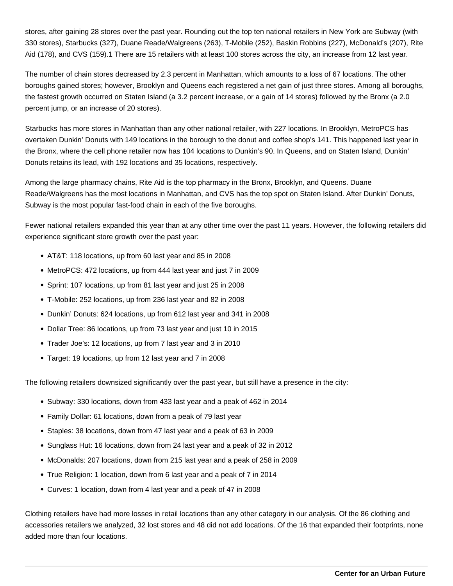stores, after gaining 28 stores over the past year. Rounding out the top ten national retailers in New York are Subway (with 330 stores), Starbucks (327), Duane Reade/Walgreens (263), T-Mobile (252), Baskin Robbins (227), McDonald's (207), Rite Aid (178), and CVS (159).1 There are 15 retailers with at least 100 stores across the city, an increase from 12 last year.

The number of chain stores decreased by 2.3 percent in Manhattan, which amounts to a loss of 67 locations. The other boroughs gained stores; however, Brooklyn and Queens each registered a net gain of just three stores. Among all boroughs, the fastest growth occurred on Staten Island (a 3.2 percent increase, or a gain of 14 stores) followed by the Bronx (a 2.0 percent jump, or an increase of 20 stores).

Starbucks has more stores in Manhattan than any other national retailer, with 227 locations. In Brooklyn, MetroPCS has overtaken Dunkin' Donuts with 149 locations in the borough to the donut and coffee shop's 141. This happened last year in the Bronx, where the cell phone retailer now has 104 locations to Dunkin's 90. In Queens, and on Staten Island, Dunkin' Donuts retains its lead, with 192 locations and 35 locations, respectively.

Among the large pharmacy chains, Rite Aid is the top pharmacy in the Bronx, Brooklyn, and Queens. Duane Reade/Walgreens has the most locations in Manhattan, and CVS has the top spot on Staten Island. After Dunkin' Donuts, Subway is the most popular fast-food chain in each of the five boroughs.

Fewer national retailers expanded this year than at any other time over the past 11 years. However, the following retailers did experience significant store growth over the past year:

- AT&T: 118 locations, up from 60 last year and 85 in 2008
- MetroPCS: 472 locations, up from 444 last year and just 7 in 2009
- Sprint: 107 locations, up from 81 last year and just 25 in 2008
- T-Mobile: 252 locations, up from 236 last year and 82 in 2008
- Dunkin' Donuts: 624 locations, up from 612 last year and 341 in 2008
- Dollar Tree: 86 locations, up from 73 last year and just 10 in 2015
- Trader Joe's: 12 locations, up from 7 last year and 3 in 2010
- Target: 19 locations, up from 12 last year and 7 in 2008

The following retailers downsized significantly over the past year, but still have a presence in the city:

- Subway: 330 locations, down from 433 last year and a peak of 462 in 2014
- Family Dollar: 61 locations, down from a peak of 79 last year
- Staples: 38 locations, down from 47 last year and a peak of 63 in 2009
- Sunglass Hut: 16 locations, down from 24 last year and a peak of 32 in 2012
- McDonalds: 207 locations, down from 215 last year and a peak of 258 in 2009
- True Religion: 1 location, down from 6 last year and a peak of 7 in 2014
- Curves: 1 location, down from 4 last year and a peak of 47 in 2008

Clothing retailers have had more losses in retail locations than any other category in our analysis. Of the 86 clothing and accessories retailers we analyzed, 32 lost stores and 48 did not add locations. Of the 16 that expanded their footprints, none added more than four locations.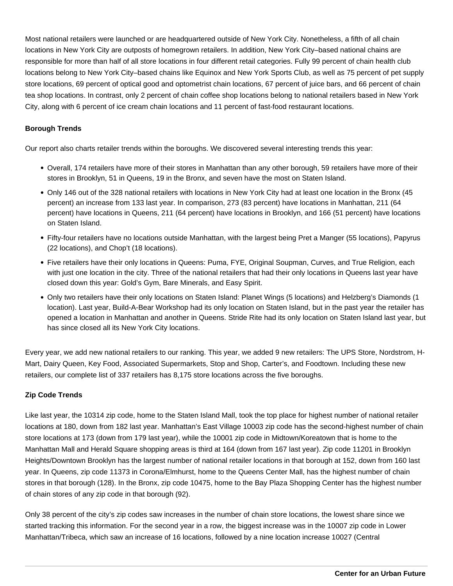Most national retailers were launched or are headquartered outside of New York City. Nonetheless, a fifth of all chain locations in New York City are outposts of homegrown retailers. In addition, New York City–based national chains are responsible for more than half of all store locations in four different retail categories. Fully 99 percent of chain health club locations belong to New York City–based chains like Equinox and New York Sports Club, as well as 75 percent of pet supply store locations, 69 percent of optical good and optometrist chain locations, 67 percent of juice bars, and 66 percent of chain tea shop locations. In contrast, only 2 percent of chain coffee shop locations belong to national retailers based in New York City, along with 6 percent of ice cream chain locations and 11 percent of fast-food restaurant locations.

## **Borough Trends**

Our report also charts retailer trends within the boroughs. We discovered several interesting trends this year:

- Overall, 174 retailers have more of their stores in Manhattan than any other borough, 59 retailers have more of their stores in Brooklyn, 51 in Queens, 19 in the Bronx, and seven have the most on Staten Island.
- Only 146 out of the 328 national retailers with locations in New York City had at least one location in the Bronx (45 percent) an increase from 133 last year. In comparison, 273 (83 percent) have locations in Manhattan, 211 (64 percent) have locations in Queens, 211 (64 percent) have locations in Brooklyn, and 166 (51 percent) have locations on Staten Island.
- Fifty-four retailers have no locations outside Manhattan, with the largest being Pret a Manger (55 locations), Papyrus (22 locations), and Chop't (18 locations).
- Five retailers have their only locations in Queens: Puma, FYE, Original Soupman, Curves, and True Religion, each with just one location in the city. Three of the national retailers that had their only locations in Queens last year have closed down this year: Gold's Gym, Bare Minerals, and Easy Spirit.
- Only two retailers have their only locations on Staten Island: Planet Wings (5 locations) and Helzberg's Diamonds (1 location). Last year, Build-A-Bear Workshop had its only location on Staten Island, but in the past year the retailer has opened a location in Manhattan and another in Queens. Stride Rite had its only location on Staten Island last year, but has since closed all its New York City locations.

Every year, we add new national retailers to our ranking. This year, we added 9 new retailers: The UPS Store, Nordstrom, H-Mart, Dairy Queen, Key Food, Associated Supermarkets, Stop and Shop, Carter's, and Foodtown. Including these new retailers, our complete list of 337 retailers has 8,175 store locations across the five boroughs.

## **Zip Code Trends**

Like last year, the 10314 zip code, home to the Staten Island Mall, took the top place for highest number of national retailer locations at 180, down from 182 last year. Manhattan's East Village 10003 zip code has the second-highest number of chain store locations at 173 (down from 179 last year), while the 10001 zip code in Midtown/Koreatown that is home to the Manhattan Mall and Herald Square shopping areas is third at 164 (down from 167 last year). Zip code 11201 in Brooklyn Heights/Downtown Brooklyn has the largest number of national retailer locations in that borough at 152, down from 160 last year. In Queens, zip code 11373 in Corona/Elmhurst, home to the Queens Center Mall, has the highest number of chain stores in that borough (128). In the Bronx, zip code 10475, home to the Bay Plaza Shopping Center has the highest number of chain stores of any zip code in that borough (92).

Only 38 percent of the city's zip codes saw increases in the number of chain store locations, the lowest share since we started tracking this information. For the second year in a row, the biggest increase was in the 10007 zip code in Lower Manhattan/Tribeca, which saw an increase of 16 locations, followed by a nine location increase 10027 (Central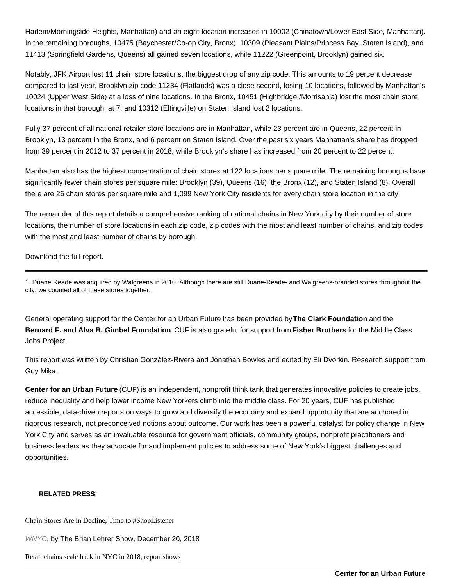Harlem/Morningside Heights, Manhattan) and an eight-location increases in 10002 (Chinatown/Lower East Side, Manhattan). In the remaining boroughs, 10475 (Baychester/Co-op City, Bronx), 10309 (Pleasant Plains/Princess Bay, Staten Island), and 11413 (Springfield Gardens, Queens) all gained seven locations, while 11222 (Greenpoint, Brooklyn) gained six.

Notably, JFK Airport lost 11 chain store locations, the biggest drop of any zip code. This amounts to 19 percent decrease compared to last year. Brooklyn zip code 11234 (Flatlands) was a close second, losing 10 locations, followed by Manhattan's 10024 (Upper West Side) at a loss of nine locations. In the Bronx, 10451 (Highbridge /Morrisania) lost the most chain store locations in that borough, at 7, and 10312 (Eltingville) on Staten Island lost 2 locations.

Fully 37 percent of all national retailer store locations are in Manhattan, while 23 percent are in Queens, 22 percent in Brooklyn, 13 percent in the Bronx, and 6 percent on Staten Island. Over the past six years Manhattan's share has dropped from 39 percent in 2012 to 37 percent in 2018, while Brooklyn's share has increased from 20 percent to 22 percent.

Manhattan also has the highest concentration of chain stores at 122 locations per square mile. The remaining boroughs have significantly fewer chain stores per square mile: Brooklyn (39), Queens (16), the Bronx (12), and Staten Island (8). Overall there are 26 chain stores per square mile and 1,099 New York City residents for every chain store location in the city.

The remainder of this report details a comprehensive ranking of national chains in New York city by their number of store locations, the number of store locations in each zip code, zip codes with the most and least number of chains, and zip codes with the most and least number of chains by borough.

## [Download](/pdf/StateOfChains2018.pdf) the full report.

1. Duane Reade was acquired by Walgreens in 2010. Although there are still Duane-Reade- and Walgreens-branded stores throughout the city, we counted all of these stores together.

General operating support for the Center for an Urban Future has been provided by The Clark Foundation and the Bernard F. and Alva B. Gimbel Foundation . CUF is also grateful for support from Fisher Brothers for the Middle Class Jobs Project.

This report was written by Christian González-Rivera and Jonathan Bowles and edited by Eli Dvorkin. Research support from Guy Mika.

Center for an Urban Future (CUF) is an independent, nonprofit think tank that generates innovative policies to create jobs, reduce inequality and help lower income New Yorkers climb into the middle class. For 20 years, CUF has published accessible, data-driven reports on ways to grow and diversify the economy and expand opportunity that are anchored in rigorous research, not preconceived notions about outcome. Our work has been a powerful catalyst for policy change in New York City and serves as an invaluable resource for government officials, community groups, nonprofit practitioners and business leaders as they advocate for and implement policies to address some of New York's biggest challenges and opportunities.

#### RELATED PRESS

## [Chain Stores Are in Decline, Time to #ShopListe](https://www.wnyc.org/story/chain-stores-are-decline-time-shoplistener)ner

WNYC, by The Brian Lehrer Show, December 20, 2018

[Retail chains scale back in NYC in 2018, report sh](http://usa.chinadaily.com.cn/a/201812/21/WS5c1be22ea3107d4c3a001f6c.html)ows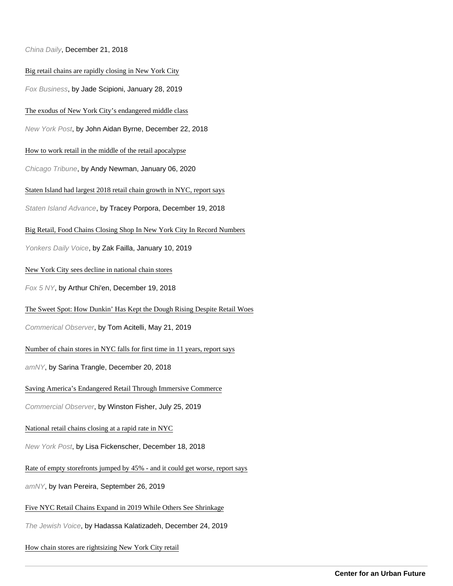#### China Daily, December 21, 2018

#### [Big retail chains are rapidly closing in New York C](https://www.foxbusiness.com/retail/big-retail-chains-are-rapidly-closing-in-new-york-city)ity

Fox Business, by Jade Scipioni, January 28, 2019

#### [The exodus of New York City's endangered middle c](https://nypost.com/2018/12/22/the-exodus-of-new-york-citys-endangered-middle-class/)lass

New York Post, by John Aidan Byrne, December 22, 2018

#### [How to work retail in the middle of the retail apocaly](https://www.chicagotribune.com/consumer-reviews/sns-retail-apocalypse-20191227-2vphggjytrg53ewaky5a4m4woq-story.html)pse

Chicago Tribune, by Andy Newman, January 06, 2020

#### [Staten Island had largest 2018 retail chain growth in NYC, repor](https://www.silive.com/news/2018/12/staten-island-has-largest-2018-retail-chain-growth-in-nyc-report-says.html)t says

Staten Island Advance, by Tracey Porpora, December 19, 2018

#### [Big Retail, Food Chains Closing Shop In New York City In Record Num](https://dailyvoice.com/new-york/yonkers/business/big-retail-food-chains-closing-shop-in-new-york-city-in-record-numbers/746256/)bers

Yonkers Daily Voice, by Zak Failla, January 10, 2019

#### [New York City sees decline in national chain st](http://www.fox5ny.com/news/nyc-national-chain-stores-decline)ores

Fox 5 NY, by Arthur Chi'en, December 19, 2018

#### [The Sweet Spot: How Dunkin' Has Kept the Dough Rising Despite Retail](https://commercialobserver.com/2019/05/dunkin-sweet-spot/) Woes

Commerical Observer, by Tom Acitelli, May 21, 2019

#### [Number of chain stores in NYC falls for first time in 11 years, report](https://www.amny.com/news/nyc-chain-stores-1.24723095) says

amNY, by Sarina Trangle, December 20, 2018

#### [Saving America's Endangered Retail Through Immersive Comm](https://commercialobserver.com/2019/07/saving-americas-endangered-retail-through-immersive-commerce/)erce

Commercial Observer, by Winston Fisher, July 25, 2019

#### [National retail chains closing at a rapid rate in N](https://nypost.com/2018/12/18/national-retail-chains-closing-at-a-rapid-rate-in-nyc/)YC

New York Post, by Lisa Fickenscher, December 18, 2018

#### [Rate of empty storefronts jumped by 45% - and it could get worse, repo](https://www.amny.com/real-estate/empty-storefronts-nyc-1.36834078)rt says

amNY, by Ivan Pereira, September 26, 2019

#### [Five NYC Retail Chains Expand in 2019 While Others See Shrin](http://thejewishvoice.com/2019/12/24/five-nyc-retail-chains-expand-in-2019-while-others-see-shrinkage/)kage

The Jewish Voice, by Hadassa Kalatizadeh, December 24, 2019

#### [How chain stores are rightsizing New York City re](https://www.retaildive.com/news/how-chain-stores-are-rightsizing-new-york-city-retail/571712/)tail